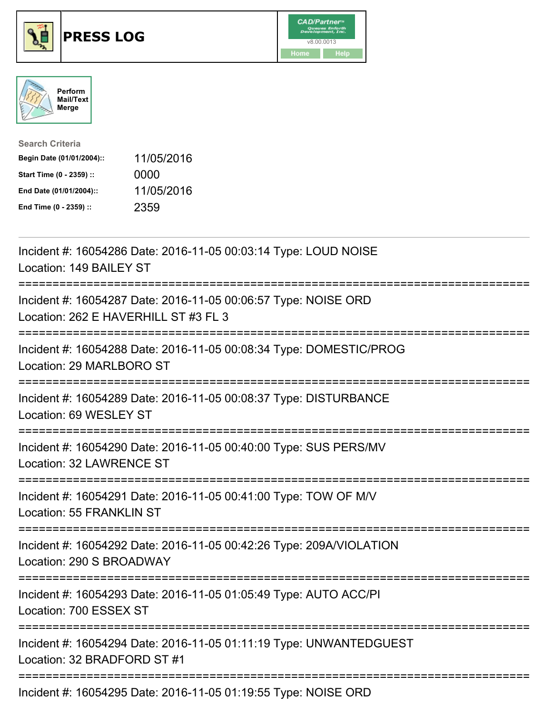





| <b>Search Criteria</b>    |            |
|---------------------------|------------|
| Begin Date (01/01/2004):: | 11/05/2016 |
| Start Time (0 - 2359) ::  | 0000       |
| End Date (01/01/2004)::   | 11/05/2016 |
| End Time (0 - 2359) ::    | 2359       |

| Incident #: 16054286 Date: 2016-11-05 00:03:14 Type: LOUD NOISE<br>Location: 149 BAILEY ST             |
|--------------------------------------------------------------------------------------------------------|
| Incident #: 16054287 Date: 2016-11-05 00:06:57 Type: NOISE ORD<br>Location: 262 E HAVERHILL ST #3 FL 3 |
| Incident #: 16054288 Date: 2016-11-05 00:08:34 Type: DOMESTIC/PROG<br>Location: 29 MARLBORO ST         |
| Incident #: 16054289 Date: 2016-11-05 00:08:37 Type: DISTURBANCE<br>Location: 69 WESLEY ST             |
| Incident #: 16054290 Date: 2016-11-05 00:40:00 Type: SUS PERS/MV<br>Location: 32 LAWRENCE ST           |
| Incident #: 16054291 Date: 2016-11-05 00:41:00 Type: TOW OF M/V<br><b>Location: 55 FRANKLIN ST</b>     |
| Incident #: 16054292 Date: 2016-11-05 00:42:26 Type: 209A/VIOLATION<br>Location: 290 S BROADWAY        |
| Incident #: 16054293 Date: 2016-11-05 01:05:49 Type: AUTO ACC/PI<br>Location: 700 ESSEX ST             |
| Incident #: 16054294 Date: 2016-11-05 01:11:19 Type: UNWANTEDGUEST<br>Location: 32 BRADFORD ST #1      |
| $Inoidont + 460E490E$ Deta: $904E$ 44.0E $04.40E$ Type: NOICE ODD                                      |

Incident #: 16054295 Date: 2016-11-05 01:19:55 Type: NOISE ORD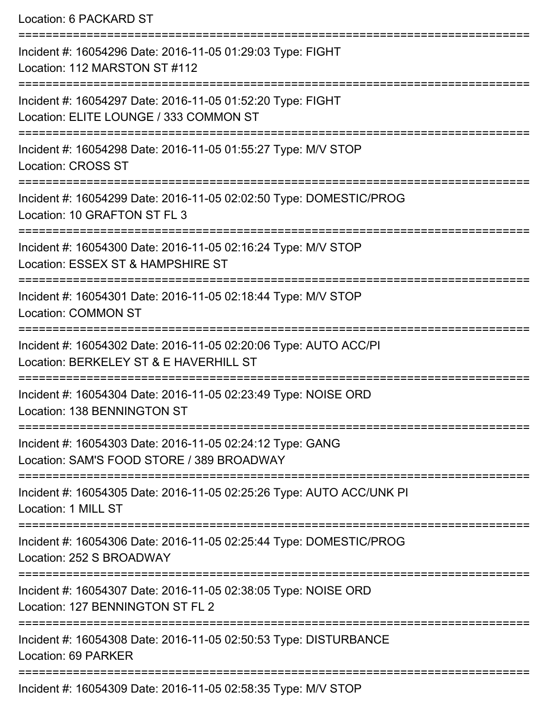Location: 6 PACKARD ST =========================================================================== Incident #: 16054296 Date: 2016-11-05 01:29:03 Type: FIGHT Location: 112 MARSTON ST #112 =========================================================================== Incident #: 16054297 Date: 2016-11-05 01:52:20 Type: FIGHT Location: ELITE LOUNGE / 333 COMMON ST =========================================================================== Incident #: 16054298 Date: 2016-11-05 01:55:27 Type: M/V STOP Location: CROSS ST =========================================================================== Incident #: 16054299 Date: 2016-11-05 02:02:50 Type: DOMESTIC/PROG Location: 10 GRAFTON ST FL 3 =========================================================================== Incident #: 16054300 Date: 2016-11-05 02:16:24 Type: M/V STOP Location: ESSEX ST & HAMPSHIRE ST =========================================================================== Incident #: 16054301 Date: 2016-11-05 02:18:44 Type: M/V STOP Location: COMMON ST =========================================================================== Incident #: 16054302 Date: 2016-11-05 02:20:06 Type: AUTO ACC/PI Location: BERKELEY ST & E HAVERHILL ST =========================================================================== Incident #: 16054304 Date: 2016-11-05 02:23:49 Type: NOISE ORD Location: 138 BENNINGTON ST =========================================================================== Incident #: 16054303 Date: 2016-11-05 02:24:12 Type: GANG Location: SAM'S FOOD STORE / 389 BROADWAY =========================================================================== Incident #: 16054305 Date: 2016-11-05 02:25:26 Type: AUTO ACC/UNK PI Location: 1 MILL ST =========================================================================== Incident #: 16054306 Date: 2016-11-05 02:25:44 Type: DOMESTIC/PROG Location: 252 S BROADWAY =========================================================================== Incident #: 16054307 Date: 2016-11-05 02:38:05 Type: NOISE ORD Location: 127 BENNINGTON ST FL 2 =========================================================================== Incident #: 16054308 Date: 2016-11-05 02:50:53 Type: DISTURBANCE Location: 69 PARKER ===========================================================================

Incident #: 16054309 Date: 2016-11-05 02:58:35 Type: M/V STOP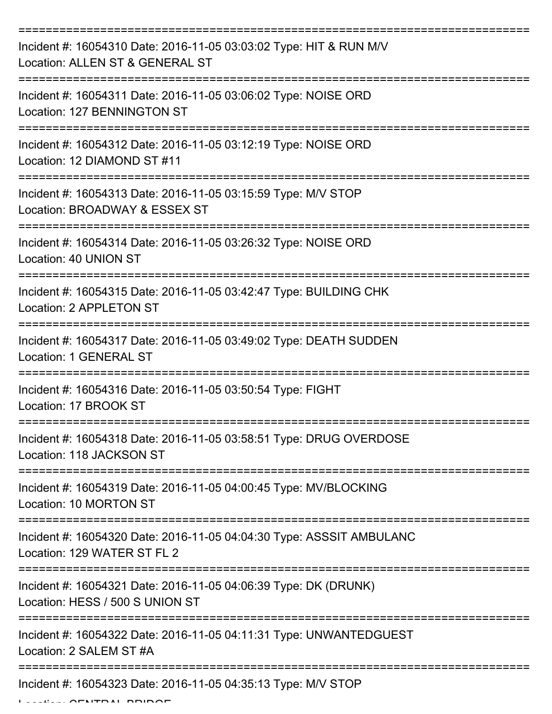| Incident #: 16054310 Date: 2016-11-05 03:03:02 Type: HIT & RUN M/V<br>Location: ALLEN ST & GENERAL ST |
|-------------------------------------------------------------------------------------------------------|
| Incident #: 16054311 Date: 2016-11-05 03:06:02 Type: NOISE ORD<br>Location: 127 BENNINGTON ST         |
| Incident #: 16054312 Date: 2016-11-05 03:12:19 Type: NOISE ORD<br>Location: 12 DIAMOND ST #11         |
| Incident #: 16054313 Date: 2016-11-05 03:15:59 Type: M/V STOP<br>Location: BROADWAY & ESSEX ST        |
| Incident #: 16054314 Date: 2016-11-05 03:26:32 Type: NOISE ORD<br>Location: 40 UNION ST               |
| Incident #: 16054315 Date: 2016-11-05 03:42:47 Type: BUILDING CHK<br>Location: 2 APPLETON ST          |
| Incident #: 16054317 Date: 2016-11-05 03:49:02 Type: DEATH SUDDEN<br><b>Location: 1 GENERAL ST</b>    |
| Incident #: 16054316 Date: 2016-11-05 03:50:54 Type: FIGHT<br>Location: 17 BROOK ST                   |
| Incident #: 16054318 Date: 2016-11-05 03:58:51 Type: DRUG OVERDOSE<br>Location: 118 JACKSON ST        |
| Incident #: 16054319 Date: 2016-11-05 04:00:45 Type: MV/BLOCKING<br>Location: 10 MORTON ST            |
| Incident #: 16054320 Date: 2016-11-05 04:04:30 Type: ASSSIT AMBULANC<br>Location: 129 WATER ST FL 2   |
| Incident #: 16054321 Date: 2016-11-05 04:06:39 Type: DK (DRUNK)<br>Location: HESS / 500 S UNION ST    |
| Incident #: 16054322 Date: 2016-11-05 04:11:31 Type: UNWANTEDGUEST<br>Location: 2 SALEM ST #A         |
| Incident #: 16054323 Date: 2016-11-05 04:35:13 Type: M/V STOP                                         |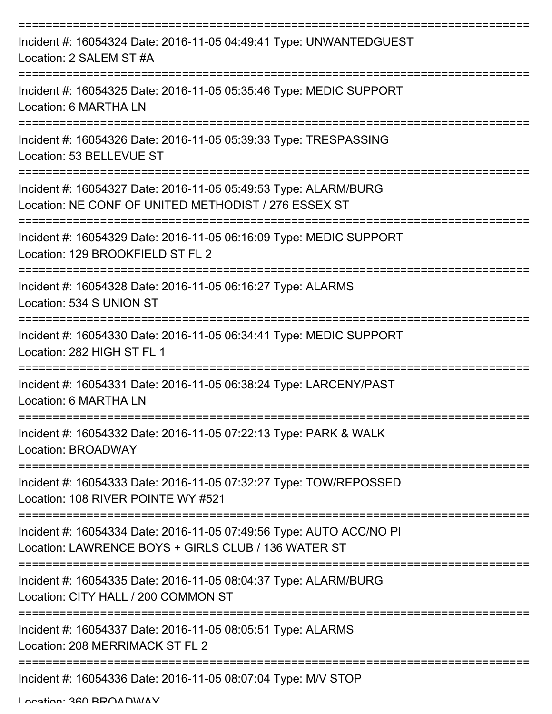| Incident #: 16054324 Date: 2016-11-05 04:49:41 Type: UNWANTEDGUEST<br>Location: 2 SALEM ST #A                              |
|----------------------------------------------------------------------------------------------------------------------------|
| Incident #: 16054325 Date: 2016-11-05 05:35:46 Type: MEDIC SUPPORT<br>Location: 6 MARTHA LN                                |
| Incident #: 16054326 Date: 2016-11-05 05:39:33 Type: TRESPASSING<br>Location: 53 BELLEVUE ST                               |
| Incident #: 16054327 Date: 2016-11-05 05:49:53 Type: ALARM/BURG<br>Location: NE CONF OF UNITED METHODIST / 276 ESSEX ST    |
| Incident #: 16054329 Date: 2016-11-05 06:16:09 Type: MEDIC SUPPORT<br>Location: 129 BROOKFIELD ST FL 2<br>===============  |
| Incident #: 16054328 Date: 2016-11-05 06:16:27 Type: ALARMS<br>Location: 534 S UNION ST                                    |
| Incident #: 16054330 Date: 2016-11-05 06:34:41 Type: MEDIC SUPPORT<br>Location: 282 HIGH ST FL 1<br>============           |
| Incident #: 16054331 Date: 2016-11-05 06:38:24 Type: LARCENY/PAST<br>Location: 6 MARTHA LN                                 |
| Incident #: 16054332 Date: 2016-11-05 07:22:13 Type: PARK & WALK<br>Location: BROADWAY                                     |
| Incident #: 16054333 Date: 2016-11-05 07:32:27 Type: TOW/REPOSSED<br>Location: 108 RIVER POINTE WY #521                    |
| Incident #: 16054334 Date: 2016-11-05 07:49:56 Type: AUTO ACC/NO PI<br>Location: LAWRENCE BOYS + GIRLS CLUB / 136 WATER ST |
| Incident #: 16054335 Date: 2016-11-05 08:04:37 Type: ALARM/BURG<br>Location: CITY HALL / 200 COMMON ST                     |
| Incident #: 16054337 Date: 2016-11-05 08:05:51 Type: ALARMS<br>Location: 208 MERRIMACK ST FL 2                             |
| Incident #: 16054336 Date: 2016-11-05 08:07:04 Type: M/V STOP                                                              |

Location: 360 BROADWAY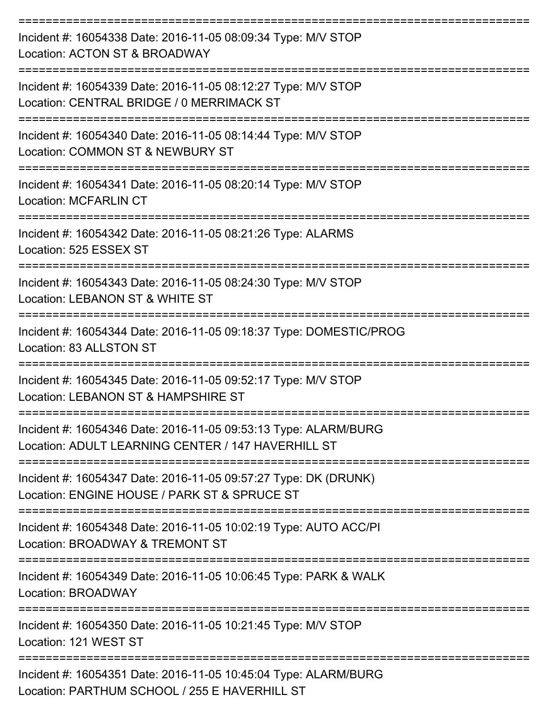| Incident #: 16054338 Date: 2016-11-05 08:09:34 Type: M/V STOP<br>Location: ACTON ST & BROADWAY                        |
|-----------------------------------------------------------------------------------------------------------------------|
| Incident #: 16054339 Date: 2016-11-05 08:12:27 Type: M/V STOP<br>Location: CENTRAL BRIDGE / 0 MERRIMACK ST            |
| Incident #: 16054340 Date: 2016-11-05 08:14:44 Type: M/V STOP<br>Location: COMMON ST & NEWBURY ST                     |
| Incident #: 16054341 Date: 2016-11-05 08:20:14 Type: M/V STOP<br><b>Location: MCFARLIN CT</b>                         |
| Incident #: 16054342 Date: 2016-11-05 08:21:26 Type: ALARMS<br>Location: 525 ESSEX ST                                 |
| Incident #: 16054343 Date: 2016-11-05 08:24:30 Type: M/V STOP<br>Location: LEBANON ST & WHITE ST                      |
| Incident #: 16054344 Date: 2016-11-05 09:18:37 Type: DOMESTIC/PROG<br>Location: 83 ALLSTON ST                         |
| Incident #: 16054345 Date: 2016-11-05 09:52:17 Type: M/V STOP<br>Location: LEBANON ST & HAMPSHIRE ST                  |
| Incident #: 16054346 Date: 2016-11-05 09:53:13 Type: ALARM/BURG<br>Location: ADULT LEARNING CENTER / 147 HAVERHILL ST |
| Incident #: 16054347 Date: 2016-11-05 09:57:27 Type: DK (DRUNK)<br>Location: ENGINE HOUSE / PARK ST & SPRUCE ST       |
| Incident #: 16054348 Date: 2016-11-05 10:02:19 Type: AUTO ACC/PI<br>Location: BROADWAY & TREMONT ST                   |
| Incident #: 16054349 Date: 2016-11-05 10:06:45 Type: PARK & WALK<br>Location: BROADWAY                                |
| Incident #: 16054350 Date: 2016-11-05 10:21:45 Type: M/V STOP<br>Location: 121 WEST ST                                |
| Incident #: 16054351 Date: 2016-11-05 10:45:04 Type: ALARM/BURG<br>Location: PARTHUM SCHOOL / 255 E HAVERHILL ST      |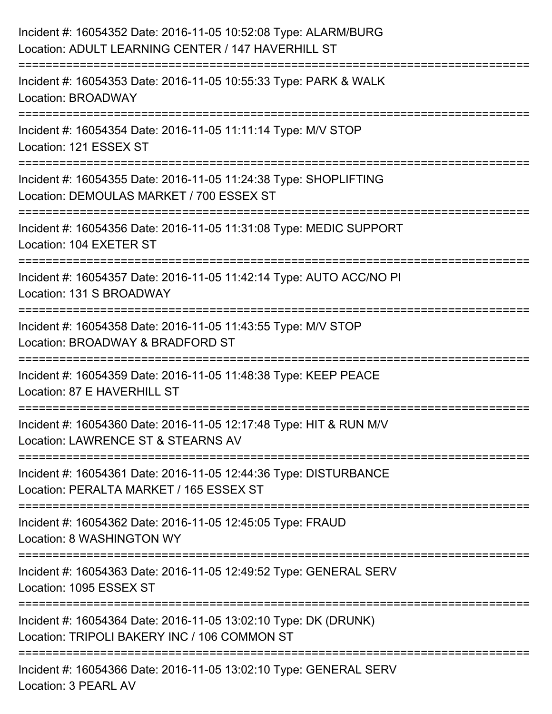| Incident #: 16054352 Date: 2016-11-05 10:52:08 Type: ALARM/BURG<br>Location: ADULT LEARNING CENTER / 147 HAVERHILL ST            |
|----------------------------------------------------------------------------------------------------------------------------------|
| :=====================================<br>Incident #: 16054353 Date: 2016-11-05 10:55:33 Type: PARK & WALK<br>Location: BROADWAY |
| Incident #: 16054354 Date: 2016-11-05 11:11:14 Type: M/V STOP<br>Location: 121 ESSEX ST                                          |
| Incident #: 16054355 Date: 2016-11-05 11:24:38 Type: SHOPLIFTING<br>Location: DEMOULAS MARKET / 700 ESSEX ST                     |
| Incident #: 16054356 Date: 2016-11-05 11:31:08 Type: MEDIC SUPPORT<br>Location: 104 EXETER ST                                    |
| Incident #: 16054357 Date: 2016-11-05 11:42:14 Type: AUTO ACC/NO PI<br>Location: 131 S BROADWAY                                  |
| Incident #: 16054358 Date: 2016-11-05 11:43:55 Type: M/V STOP<br>Location: BROADWAY & BRADFORD ST<br>===============             |
| ================<br>Incident #: 16054359 Date: 2016-11-05 11:48:38 Type: KEEP PEACE<br>Location: 87 E HAVERHILL ST               |
| Incident #: 16054360 Date: 2016-11-05 12:17:48 Type: HIT & RUN M/V<br>Location: LAWRENCE ST & STEARNS AV                         |
| Incident #: 16054361 Date: 2016-11-05 12:44:36 Type: DISTURBANCE<br>Location: PERALTA MARKET / 165 ESSEX ST                      |
| Incident #: 16054362 Date: 2016-11-05 12:45:05 Type: FRAUD<br>Location: 8 WASHINGTON WY                                          |
| Incident #: 16054363 Date: 2016-11-05 12:49:52 Type: GENERAL SERV<br>Location: 1095 ESSEX ST                                     |
| Incident #: 16054364 Date: 2016-11-05 13:02:10 Type: DK (DRUNK)<br>Location: TRIPOLI BAKERY INC / 106 COMMON ST                  |
| Incident #: 16054366 Date: 2016-11-05 13:02:10 Type: GENERAL SERV<br>Location: 3 PEARL AV                                        |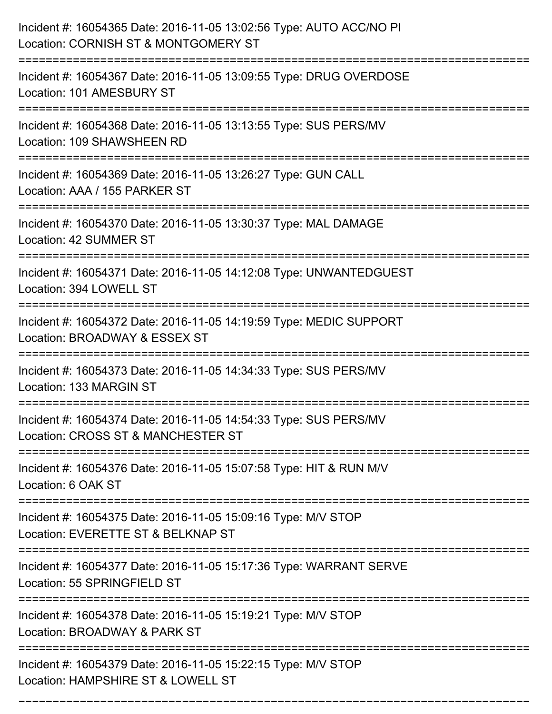| Incident #: 16054365 Date: 2016-11-05 13:02:56 Type: AUTO ACC/NO PI<br>Location: CORNISH ST & MONTGOMERY ST                   |
|-------------------------------------------------------------------------------------------------------------------------------|
| :=====================<br>Incident #: 16054367 Date: 2016-11-05 13:09:55 Type: DRUG OVERDOSE<br>Location: 101 AMESBURY ST     |
| Incident #: 16054368 Date: 2016-11-05 13:13:55 Type: SUS PERS/MV<br>Location: 109 SHAWSHEEN RD<br>:=========================  |
| Incident #: 16054369 Date: 2016-11-05 13:26:27 Type: GUN CALL<br>Location: AAA / 155 PARKER ST                                |
| Incident #: 16054370 Date: 2016-11-05 13:30:37 Type: MAL DAMAGE<br>Location: 42 SUMMER ST                                     |
| Incident #: 16054371 Date: 2016-11-05 14:12:08 Type: UNWANTEDGUEST<br>Location: 394 LOWELL ST                                 |
| Incident #: 16054372 Date: 2016-11-05 14:19:59 Type: MEDIC SUPPORT<br>Location: BROADWAY & ESSEX ST                           |
| Incident #: 16054373 Date: 2016-11-05 14:34:33 Type: SUS PERS/MV<br>Location: 133 MARGIN ST                                   |
| Incident #: 16054374 Date: 2016-11-05 14:54:33 Type: SUS PERS/MV<br>Location: CROSS ST & MANCHESTER ST                        |
| Incident #: 16054376 Date: 2016-11-05 15:07:58 Type: HIT & RUN M/V<br>Location: 6 OAK ST<br>--------------------------------- |
| Incident #: 16054375 Date: 2016-11-05 15:09:16 Type: M/V STOP<br>Location: EVERETTE ST & BELKNAP ST                           |
| Incident #: 16054377 Date: 2016-11-05 15:17:36 Type: WARRANT SERVE<br>Location: 55 SPRINGFIELD ST                             |
| Incident #: 16054378 Date: 2016-11-05 15:19:21 Type: M/V STOP<br>Location: BROADWAY & PARK ST                                 |
| Incident #: 16054379 Date: 2016-11-05 15:22:15 Type: M/V STOP<br>Location: HAMPSHIRE ST & LOWELL ST                           |

===========================================================================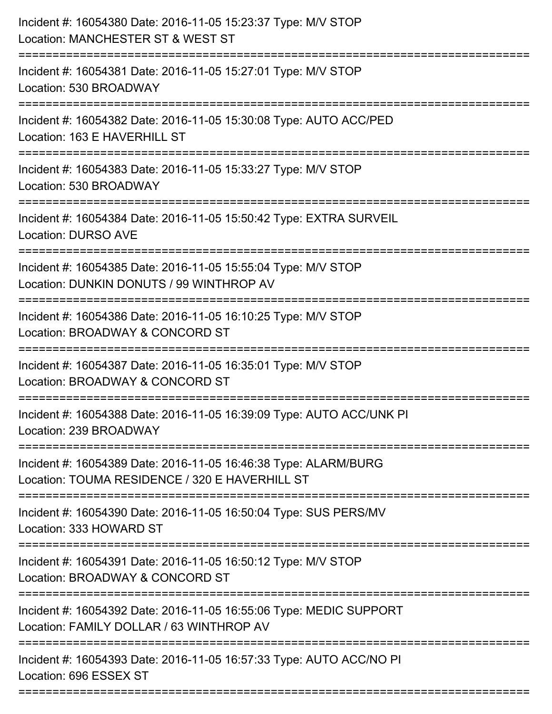| Incident #: 16054380 Date: 2016-11-05 15:23:37 Type: M/V STOP<br>Location: MANCHESTER ST & WEST ST<br>===============================    |
|------------------------------------------------------------------------------------------------------------------------------------------|
| Incident #: 16054381 Date: 2016-11-05 15:27:01 Type: M/V STOP<br>Location: 530 BROADWAY                                                  |
| Incident #: 16054382 Date: 2016-11-05 15:30:08 Type: AUTO ACC/PED<br>Location: 163 E HAVERHILL ST<br>=================================== |
| Incident #: 16054383 Date: 2016-11-05 15:33:27 Type: M/V STOP<br>Location: 530 BROADWAY                                                  |
| Incident #: 16054384 Date: 2016-11-05 15:50:42 Type: EXTRA SURVEIL<br><b>Location: DURSO AVE</b>                                         |
| Incident #: 16054385 Date: 2016-11-05 15:55:04 Type: M/V STOP<br>Location: DUNKIN DONUTS / 99 WINTHROP AV<br>=========================== |
| Incident #: 16054386 Date: 2016-11-05 16:10:25 Type: M/V STOP<br>Location: BROADWAY & CONCORD ST                                         |
| Incident #: 16054387 Date: 2016-11-05 16:35:01 Type: M/V STOP<br>Location: BROADWAY & CONCORD ST                                         |
| Incident #: 16054388 Date: 2016-11-05 16:39:09 Type: AUTO ACC/UNK PI<br>Location: 239 BROADWAY                                           |
| Incident #: 16054389 Date: 2016-11-05 16:46:38 Type: ALARM/BURG<br>Location: TOUMA RESIDENCE / 320 E HAVERHILL ST                        |
| Incident #: 16054390 Date: 2016-11-05 16:50:04 Type: SUS PERS/MV<br>Location: 333 HOWARD ST                                              |
| Incident #: 16054391 Date: 2016-11-05 16:50:12 Type: M/V STOP<br>Location: BROADWAY & CONCORD ST                                         |
| Incident #: 16054392 Date: 2016-11-05 16:55:06 Type: MEDIC SUPPORT<br>Location: FAMILY DOLLAR / 63 WINTHROP AV                           |
| Incident #: 16054393 Date: 2016-11-05 16:57:33 Type: AUTO ACC/NO PI<br>Location: 696 ESSEX ST                                            |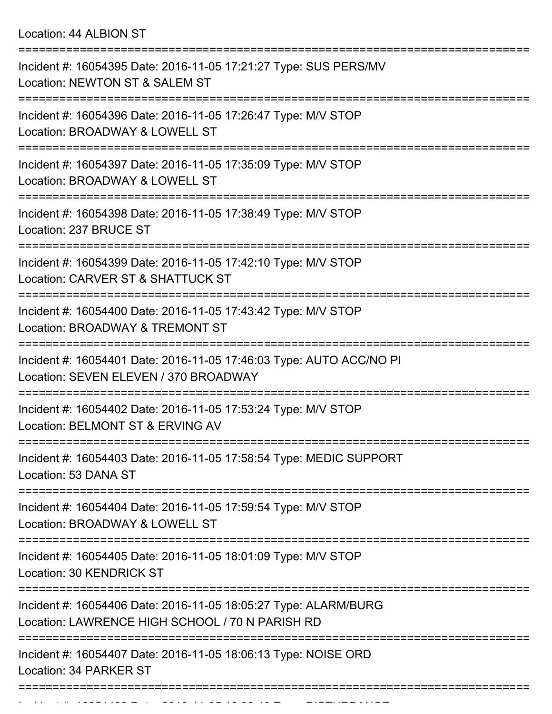Location: 44 ALBION ST

| Incident #: 16054395 Date: 2016-11-05 17:21:27 Type: SUS PERS/MV<br>Location: NEWTON ST & SALEM ST                                                           |
|--------------------------------------------------------------------------------------------------------------------------------------------------------------|
| Incident #: 16054396 Date: 2016-11-05 17:26:47 Type: M/V STOP<br>Location: BROADWAY & LOWELL ST                                                              |
| Incident #: 16054397 Date: 2016-11-05 17:35:09 Type: M/V STOP<br>Location: BROADWAY & LOWELL ST                                                              |
| Incident #: 16054398 Date: 2016-11-05 17:38:49 Type: M/V STOP<br>Location: 237 BRUCE ST                                                                      |
| Incident #: 16054399 Date: 2016-11-05 17:42:10 Type: M/V STOP<br>Location: CARVER ST & SHATTUCK ST                                                           |
| Incident #: 16054400 Date: 2016-11-05 17:43:42 Type: M/V STOP<br>Location: BROADWAY & TREMONT ST                                                             |
| Incident #: 16054401 Date: 2016-11-05 17:46:03 Type: AUTO ACC/NO PI<br>Location: SEVEN ELEVEN / 370 BROADWAY                                                 |
| Incident #: 16054402 Date: 2016-11-05 17:53:24 Type: M/V STOP<br>Location: BELMONT ST & ERVING AV                                                            |
| Incident #: 16054403 Date: 2016-11-05 17:58:54 Type: MEDIC SUPPORT<br>Location: 53 DANA ST                                                                   |
| ====================<br>=================================<br>Incident #: 16054404 Date: 2016-11-05 17:59:54 Type: M/V STOP<br>Location: BROADWAY & LOWELL ST |
| Incident #: 16054405 Date: 2016-11-05 18:01:09 Type: M/V STOP<br>Location: 30 KENDRICK ST                                                                    |
| Incident #: 16054406 Date: 2016-11-05 18:05:27 Type: ALARM/BURG<br>Location: LAWRENCE HIGH SCHOOL / 70 N PARISH RD                                           |
| Incident #: 16054407 Date: 2016-11-05 18:06:13 Type: NOISE ORD<br>Location: 34 PARKER ST                                                                     |
|                                                                                                                                                              |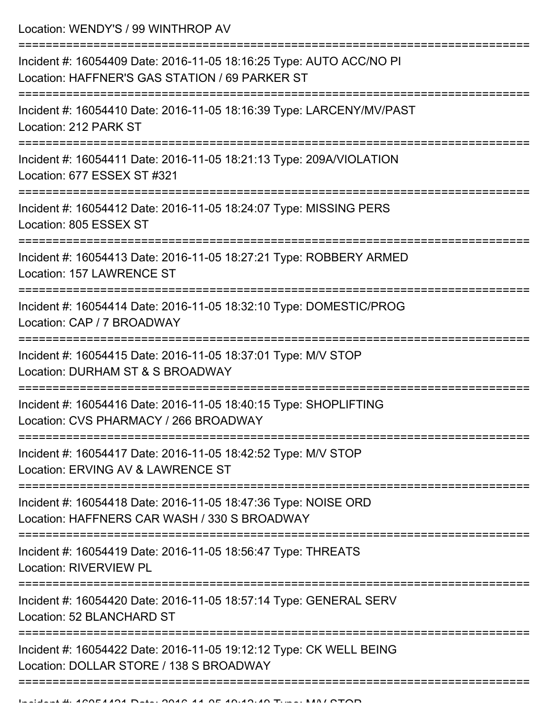Location: WENDY'S / 99 WINTHROP AV

| Incident #: 16054409 Date: 2016-11-05 18:16:25 Type: AUTO ACC/NO PI<br>Location: HAFFNER'S GAS STATION / 69 PARKER ST |
|-----------------------------------------------------------------------------------------------------------------------|
| Incident #: 16054410 Date: 2016-11-05 18:16:39 Type: LARCENY/MV/PAST<br>Location: 212 PARK ST                         |
| Incident #: 16054411 Date: 2016-11-05 18:21:13 Type: 209A/VIOLATION<br>Location: 677 ESSEX ST #321                    |
| Incident #: 16054412 Date: 2016-11-05 18:24:07 Type: MISSING PERS<br>Location: 805 ESSEX ST                           |
| Incident #: 16054413 Date: 2016-11-05 18:27:21 Type: ROBBERY ARMED<br>Location: 157 LAWRENCE ST                       |
| Incident #: 16054414 Date: 2016-11-05 18:32:10 Type: DOMESTIC/PROG<br>Location: CAP / 7 BROADWAY                      |
| Incident #: 16054415 Date: 2016-11-05 18:37:01 Type: M/V STOP<br>Location: DURHAM ST & S BROADWAY                     |
| Incident #: 16054416 Date: 2016-11-05 18:40:15 Type: SHOPLIFTING<br>Location: CVS PHARMACY / 266 BROADWAY             |
| Incident #: 16054417 Date: 2016-11-05 18:42:52 Type: M/V STOP<br>Location: ERVING AV & LAWRENCE ST                    |
| Incident #: 16054418 Date: 2016-11-05 18:47:36 Type: NOISE ORD<br>Location: HAFFNERS CAR WASH / 330 S BROADWAY        |
| Incident #: 16054419 Date: 2016-11-05 18:56:47 Type: THREATS<br><b>Location: RIVERVIEW PL</b>                         |
| Incident #: 16054420 Date: 2016-11-05 18:57:14 Type: GENERAL SERV<br>Location: 52 BLANCHARD ST                        |
| Incident #: 16054422 Date: 2016-11-05 19:12:12 Type: CK WELL BEING<br>Location: DOLLAR STORE / 138 S BROADWAY         |
|                                                                                                                       |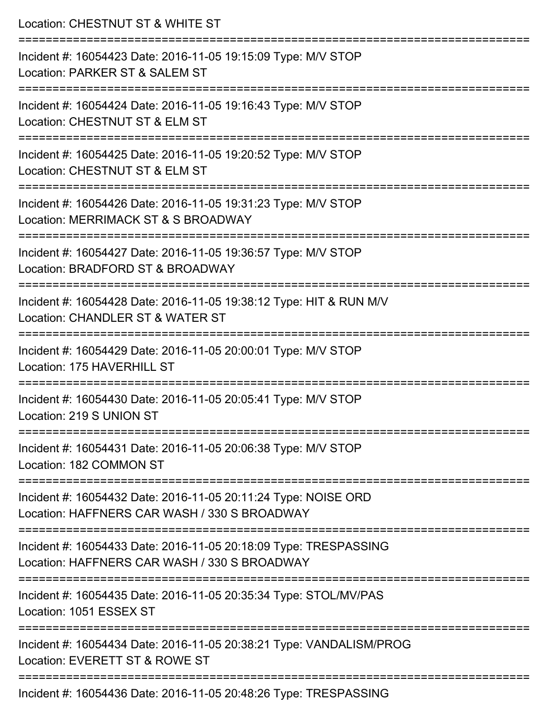| Location: CHESTNUT ST & WHITE ST                                                                                                        |
|-----------------------------------------------------------------------------------------------------------------------------------------|
| Incident #: 16054423 Date: 2016-11-05 19:15:09 Type: M/V STOP<br>Location: PARKER ST & SALEM ST                                         |
| :====================<br>Incident #: 16054424 Date: 2016-11-05 19:16:43 Type: M/V STOP<br>Location: CHESTNUT ST & ELM ST                |
| Incident #: 16054425 Date: 2016-11-05 19:20:52 Type: M/V STOP<br>Location: CHESTNUT ST & ELM ST                                         |
| Incident #: 16054426 Date: 2016-11-05 19:31:23 Type: M/V STOP<br>Location: MERRIMACK ST & S BROADWAY                                    |
| Incident #: 16054427 Date: 2016-11-05 19:36:57 Type: M/V STOP<br>Location: BRADFORD ST & BROADWAY                                       |
| =============================<br>Incident #: 16054428 Date: 2016-11-05 19:38:12 Type: HIT & RUN M/V<br>Location: CHANDLER ST & WATER ST |
| Incident #: 16054429 Date: 2016-11-05 20:00:01 Type: M/V STOP<br>Location: 175 HAVERHILL ST                                             |
| Incident #: 16054430 Date: 2016-11-05 20:05:41 Type: M/V STOP<br>Location: 219 S UNION ST                                               |
| Incident #: 16054431 Date: 2016-11-05 20:06:38 Type: M/V STOP<br>Location: 182 COMMON ST                                                |
| Incident #: 16054432 Date: 2016-11-05 20:11:24 Type: NOISE ORD<br>Location: HAFFNERS CAR WASH / 330 S BROADWAY                          |
| Incident #: 16054433 Date: 2016-11-05 20:18:09 Type: TRESPASSING<br>Location: HAFFNERS CAR WASH / 330 S BROADWAY                        |
| Incident #: 16054435 Date: 2016-11-05 20:35:34 Type: STOL/MV/PAS<br>Location: 1051 ESSEX ST                                             |
| Incident #: 16054434 Date: 2016-11-05 20:38:21 Type: VANDALISM/PROG<br>Location: EVERETT ST & ROWE ST                                   |
| Incident #: 16054436 Date: 2016-11-05 20:48:26 Type: TRESPASSING                                                                        |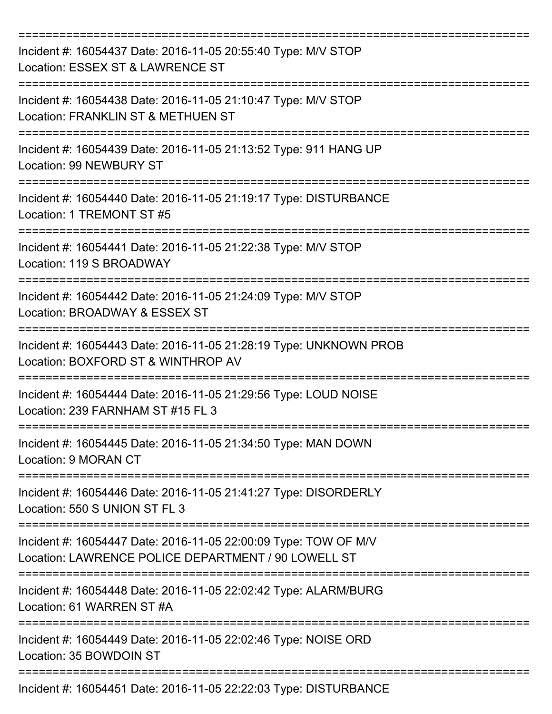| Incident #: 16054437 Date: 2016-11-05 20:55:40 Type: M/V STOP<br>Location: ESSEX ST & LAWRENCE ST                      |
|------------------------------------------------------------------------------------------------------------------------|
| Incident #: 16054438 Date: 2016-11-05 21:10:47 Type: M/V STOP<br>Location: FRANKLIN ST & METHUEN ST                    |
| Incident #: 16054439 Date: 2016-11-05 21:13:52 Type: 911 HANG UP<br><b>Location: 99 NEWBURY ST</b>                     |
| Incident #: 16054440 Date: 2016-11-05 21:19:17 Type: DISTURBANCE<br>Location: 1 TREMONT ST #5                          |
| Incident #: 16054441 Date: 2016-11-05 21:22:38 Type: M/V STOP<br>Location: 119 S BROADWAY                              |
| Incident #: 16054442 Date: 2016-11-05 21:24:09 Type: M/V STOP<br>Location: BROADWAY & ESSEX ST                         |
| Incident #: 16054443 Date: 2016-11-05 21:28:19 Type: UNKNOWN PROB<br>Location: BOXFORD ST & WINTHROP AV                |
| Incident #: 16054444 Date: 2016-11-05 21:29:56 Type: LOUD NOISE<br>Location: 239 FARNHAM ST #15 FL 3                   |
| Incident #: 16054445 Date: 2016-11-05 21:34:50 Type: MAN DOWN<br>Location: 9 MORAN CT                                  |
| Incident #: 16054446 Date: 2016-11-05 21:41:27 Type: DISORDERLY<br>Location: 550 S UNION ST FL 3                       |
| Incident #: 16054447 Date: 2016-11-05 22:00:09 Type: TOW OF M/V<br>Location: LAWRENCE POLICE DEPARTMENT / 90 LOWELL ST |
| Incident #: 16054448 Date: 2016-11-05 22:02:42 Type: ALARM/BURG<br>Location: 61 WARREN ST #A                           |
| Incident #: 16054449 Date: 2016-11-05 22:02:46 Type: NOISE ORD<br>Location: 35 BOWDOIN ST                              |
| Incident #: 16054451 Date: 2016-11-05 22:22:03 Type: DISTURBANCE                                                       |